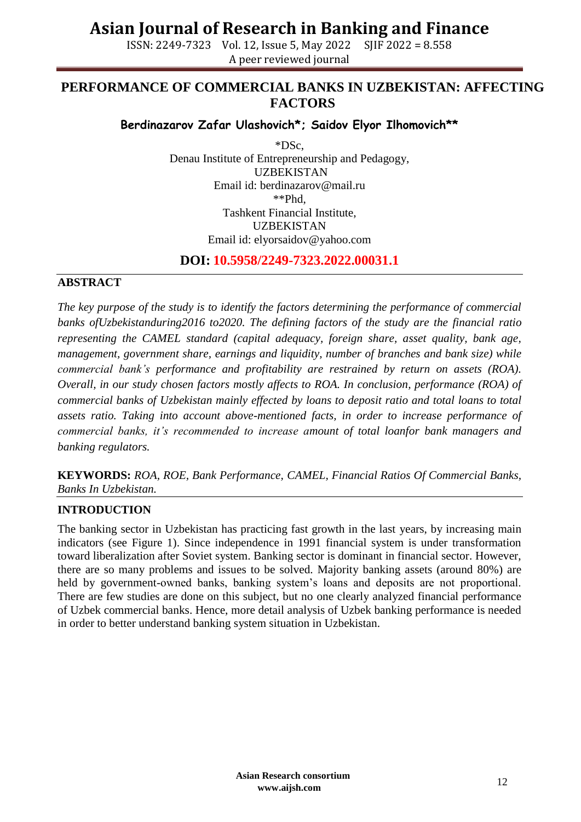ISSN: 2249-7323 Vol. 12, Issue 5, May 2022 SJIF 2022 = 8.558 A peer reviewed journal

## **PERFORMANCE OF COMMERCIAL BANKS IN UZBEKISTAN: AFFECTING FACTORS**

### **Berdinazarov Zafar Ulashovich\*; Saidov Elyor Ilhomovich\*\***

\*DSc, Denau Institute of Entrepreneurship and Pedagogy, UZBEKISTAN Email id: berdinazarov@mail.ru \*\*Phd, Tashkent Financial Institute, UZBEKISTAN Email id: [elyorsaidov@yahoo.com](mailto:elyorsaidov@yahoo.com)

**DOI: 10.5958/2249-7323.2022.00031.1**

### **ABSTRACT**

*The key purpose of the study is to identify the factors determining the performance of commercial banks ofUzbekistanduring2016 to2020. The defining factors of the study are the financial ratio representing the CAMEL standard (capital adequacy, foreign share, asset quality, bank age, management, government share, earnings and liquidity, number of branches and bank size) while commercial bank's performance and profitability are restrained by return on assets (ROA). Overall, in our study chosen factors mostly affects to ROA. In conclusion, performance (ROA) of commercial banks of Uzbekistan mainly effected by loans to deposit ratio and total loans to total assets ratio. Taking into account above-mentioned facts, in order to increase performance of commercial banks, it's recommended to increase amount of total loanfor bank managers and banking regulators.*

**KEYWORDS:** *ROA, ROE, Bank Performance, CAMEL, Financial Ratios Of Commercial Banks, Banks In Uzbekistan.*

### **INTRODUCTION**

The banking sector in Uzbekistan has practicing fast growth in the last years, by increasing main indicators (see Figure 1). Since independence in 1991 financial system is under transformation toward liberalization after Soviet system. Banking sector is dominant in financial sector. However, there are so many problems and issues to be solved. Majority banking assets (around 80%) are held by government-owned banks, banking system's loans and deposits are not proportional. There are few studies are done on this subject, but no one clearly analyzed financial performance of Uzbek commercial banks. Hence, more detail analysis of Uzbek banking performance is needed in order to better understand banking system situation in Uzbekistan.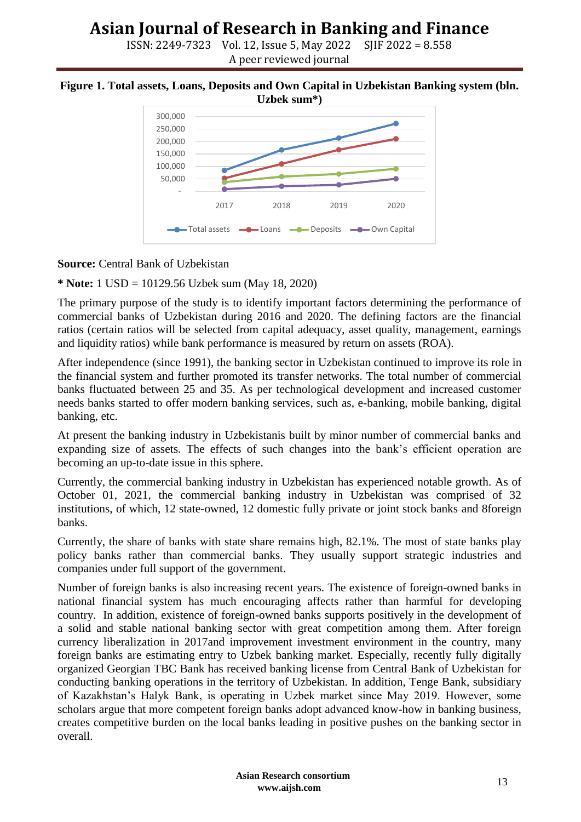ISSN: 2249-7323 Vol. 12, Issue 5, May 2022 SJIF 2022 = 8.558 A peer reviewed journal

#### **Figure 1. Total assets, Loans, Deposits and Own Capital in Uzbekistan Banking system (bln. Uzbek sum\*)**



#### **Source:** Central Bank of Uzbekistan

**\* Note:** 1 USD = 10129.56 Uzbek sum (May 18, 2020)

The primary purpose of the study is to identify important factors determining the performance of commercial banks of Uzbekistan during 2016 and 2020. The defining factors are the financial ratios (certain ratios will be selected from capital adequacy, asset quality, management, earnings and liquidity ratios) while bank performance is measured by return on assets (ROA).

After independence (since 1991), the banking sector in Uzbekistan continued to improve its role in the financial system and further promoted its transfer networks. The total number of commercial banks fluctuated between 25 and 35. As per technological development and increased customer needs banks started to offer modern banking services, such as, e-banking, mobile banking, digital banking, etc.

At present the banking industry in Uzbekistanis built by minor number of commercial banks and expanding size of assets. The effects of such changes into the bank's efficient operation are becoming an up-to-date issue in this sphere.

Currently, the commercial banking industry in Uzbekistan has experienced notable growth. As of October 01, 2021, the commercial banking industry in Uzbekistan was comprised of 32 institutions, of which, 12 state-owned, 12 domestic fully private or joint stock banks and 8foreign banks.

Currently, the share of banks with state share remains high, 82.1%. The most of state banks play policy banks rather than commercial banks. They usually support strategic industries and companies under full support of the government.

Number of foreign banks is also increasing recent years. The existence of foreign-owned banks in national financial system has much encouraging affects rather than harmful for developing country. In addition, existence of foreign-owned banks supports positively in the development of a solid and stable national banking sector with great competition among them. After foreign currency liberalization in 2017and improvement investment environment in the country, many foreign banks are estimating entry to Uzbek banking market. Especially, recently fully digitally organized Georgian TBC Bank has received banking license from Central Bank of Uzbekistan for conducting banking operations in the territory of Uzbekistan. In addition, Tenge Bank, subsidiary of Kazakhstan's Halyk Bank, is operating in Uzbek market since May 2019. However, some scholars argue that more competent foreign banks adopt advanced know-how in banking business, creates competitive burden on the local banks leading in positive pushes on the banking sector in overall.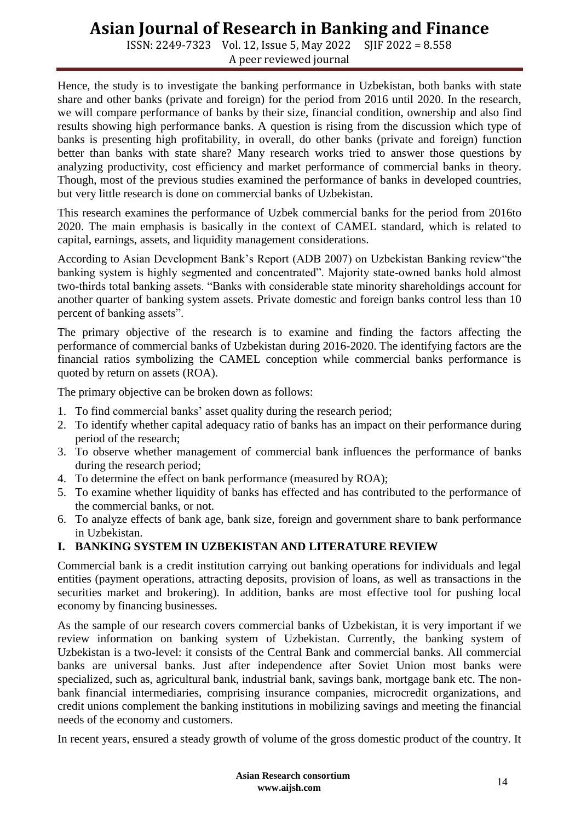ISSN: 2249-7323 Vol. 12, Issue 5, May 2022 SJIF 2022 = 8.558 A peer reviewed journal

Hence, the study is to investigate the banking performance in Uzbekistan, both banks with state share and other banks (private and foreign) for the period from 2016 until 2020. In the research, we will compare performance of banks by their size, financial condition, ownership and also find results showing high performance banks. A question is rising from the discussion which type of banks is presenting high profitability, in overall, do other banks (private and foreign) function better than banks with state share? Many research works tried to answer those questions by analyzing productivity, cost efficiency and market performance of commercial banks in theory. Though, most of the previous studies examined the performance of banks in developed countries, but very little research is done on commercial banks of Uzbekistan.

This research examines the performance of Uzbek commercial banks for the period from 2016to 2020. The main emphasis is basically in the context of CAMEL standard, which is related to capital, earnings, assets, and liquidity management considerations.

According to Asian Development Bank's Report (ADB 2007) on Uzbekistan Banking review"the banking system is highly segmented and concentrated". Majority state-owned banks hold almost two-thirds total banking assets. "Banks with considerable state minority shareholdings account for another quarter of banking system assets. Private domestic and foreign banks control less than 10 percent of banking assets".

The primary objective of the research is to examine and finding the factors affecting the performance of commercial banks of Uzbekistan during 2016-2020. The identifying factors are the financial ratios symbolizing the CAMEL conception while commercial banks performance is quoted by return on assets (ROA).

The primary objective can be broken down as follows:

- 1. To find commercial banks' asset quality during the research period;
- 2. To identify whether capital adequacy ratio of banks has an impact on their performance during period of the research;
- 3. To observe whether management of commercial bank influences the performance of banks during the research period;
- 4. To determine the effect on bank performance (measured by ROA);
- 5. To examine whether liquidity of banks has effected and has contributed to the performance of the commercial banks, or not.
- 6. To analyze effects of bank age, bank size, foreign and government share to bank performance in Uzbekistan.

### **I. BANKING SYSTEM IN UZBEKISTAN AND LITERATURE REVIEW**

Commercial bank is a credit institution carrying out banking operations for individuals and legal entities (payment operations, attracting deposits, provision of loans, as well as transactions in the securities market and brokering). In addition, banks are most effective tool for pushing local economy by financing businesses.

As the sample of our research covers commercial banks of Uzbekistan, it is very important if we review information on banking system of Uzbekistan. Currently, the banking system of Uzbekistan is a two-level: it consists of the Central Bank and commercial banks. All commercial banks are universal banks. Just after independence after Soviet Union most banks were specialized, such as, agricultural bank, industrial bank, savings bank, mortgage bank etc. The nonbank financial intermediaries, comprising insurance companies, microcredit organizations, and credit unions complement the banking institutions in mobilizing savings and meeting the financial needs of the economy and customers.

In recent years, ensured a steady growth of volume of the gross domestic product of the country. It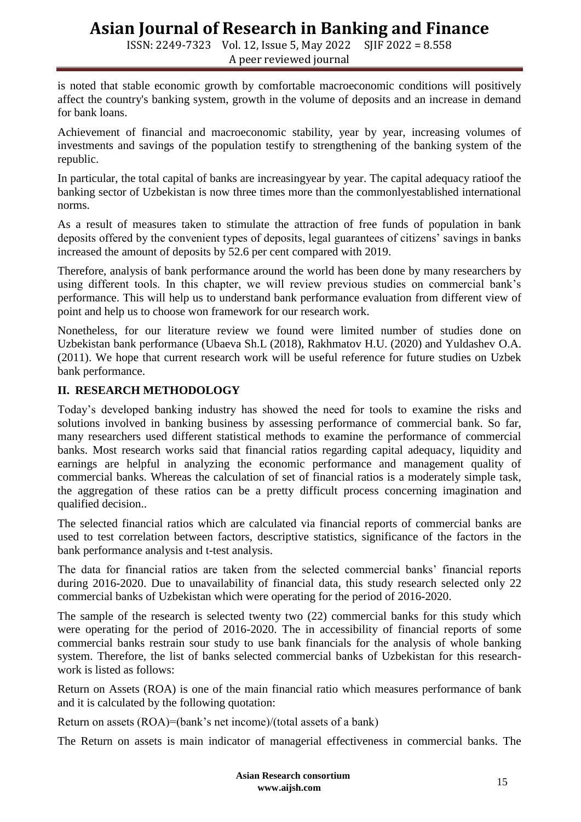ISSN: 2249-7323 Vol. 12, Issue 5, May 2022 SJIF 2022 = 8.558 A peer reviewed journal

is noted that stable economic growth by comfortable macroeconomic conditions will positively affect the country's banking system, growth in the volume of deposits and an increase in demand for bank loans.

Achievement of financial and macroeconomic stability, year by year, increasing volumes of investments and savings of the population testify to strengthening of the banking system of the republic.

In particular, the total capital of banks are increasingyear by year. The capital adequacy ratioof the banking sector of Uzbekistan is now three times more than the commonlyestablished international norms.

As a result of measures taken to stimulate the attraction of free funds of population in bank deposits offered by the convenient types of deposits, legal guarantees of citizens' savings in banks increased the amount of deposits by 52.6 per cent compared with 2019.

Therefore, analysis of bank performance around the world has been done by many researchers by using different tools. In this chapter, we will review previous studies on commercial bank's performance. This will help us to understand bank performance evaluation from different view of point and help us to choose won framework for our research work.

Nonetheless, for our literature review we found were limited number of studies done on Uzbekistan bank performance (Ubaeva Sh.L (2018), Rakhmatov H.U. (2020) and Yuldashev O.A. (2011). We hope that current research work will be useful reference for future studies on Uzbek bank performance.

### **II. RESEARCH METHODOLOGY**

Today's developed banking industry has showed the need for tools to examine the risks and solutions involved in banking business by assessing performance of commercial bank. So far, many researchers used different statistical methods to examine the performance of commercial banks. Most research works said that financial ratios regarding capital adequacy, liquidity and earnings are helpful in analyzing the economic performance and management quality of commercial banks. Whereas the calculation of set of financial ratios is a moderately simple task, the aggregation of these ratios can be a pretty difficult process concerning imagination and qualified decision..

The selected financial ratios which are calculated via financial reports of commercial banks are used to test correlation between factors, descriptive statistics, significance of the factors in the bank performance analysis and t-test analysis.

The data for financial ratios are taken from the selected commercial banks' financial reports during 2016-2020. Due to unavailability of financial data, this study research selected only 22 commercial banks of Uzbekistan which were operating for the period of 2016-2020.

The sample of the research is selected twenty two (22) commercial banks for this study which were operating for the period of 2016-2020. The in accessibility of financial reports of some commercial banks restrain sour study to use bank financials for the analysis of whole banking system. Therefore, the list of banks selected commercial banks of Uzbekistan for this researchwork is listed as follows:

Return on Assets (ROA) is one of the main financial ratio which measures performance of bank and it is calculated by the following quotation:

Return on assets (ROA)=(bank's net income)/(total assets of a bank)

The Return on assets is main indicator of managerial effectiveness in commercial banks. The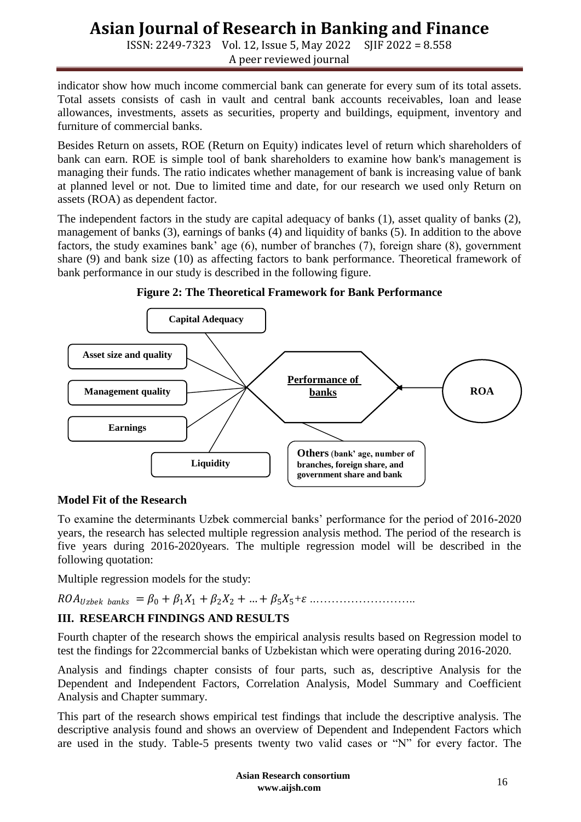ISSN: 2249-7323 Vol. 12, Issue 5, May 2022 SJIF 2022 = 8.558 A peer reviewed journal

indicator show how much income commercial bank can generate for every sum of its total assets. Total assets consists of cash in vault and central bank [accounts receivables](http://www.investopedia.com/terms/a/accountsreceivable.asp), loan and lease allowances, investments, assets as securities, property and buildings, equipment, inventory and furniture of commercial banks.

Besides Return on assets, ROE (Return on Equity) indicates level of return which shareholders of bank can earn. ROE is simple tool of bank shareholders to examine how bank's management is managing their funds. The ratio indicates whether management of bank is increasing value of bank at planned level or not. Due to limited time and date, for our research we used only Return on assets (ROA) as dependent factor.

The independent factors in the study are capital adequacy of banks (1), asset quality of banks (2), management of banks (3), earnings of banks (4) and liquidity of banks (5). In addition to the above factors, the study examines bank' age (6), number of branches (7), foreign share (8), government share (9) and bank size (10) as affecting factors to bank performance. Theoretical framework of bank performance in our study is described in the following figure.





### **Model Fit of the Research**

To examine the determinants Uzbek commercial banks' performance for the period of 2016-2020 years, the research has selected multiple regression analysis method. The period of the research is five years during 2016-2020years. The multiple regression model will be described in the following quotation:

Multiple regression models for the study:

= <sup>0</sup> + 1<sup>1</sup> + 2<sup>2</sup> + … + 55+ ..……………………..

### **III. RESEARCH FINDINGS AND RESULTS**

Fourth chapter of the research shows the empirical analysis results based on Regression model to test the findings for 22commercial banks of Uzbekistan which were operating during 2016-2020.

Analysis and findings chapter consists of four parts, such as, descriptive Analysis for the Dependent and Independent Factors, Correlation Analysis, Model Summary and Coefficient Analysis and Chapter summary.

This part of the research shows empirical test findings that include the descriptive analysis. The descriptive analysis found and shows an overview of Dependent and Independent Factors which are used in the study. Table-5 presents twenty two valid cases or "N" for every factor. The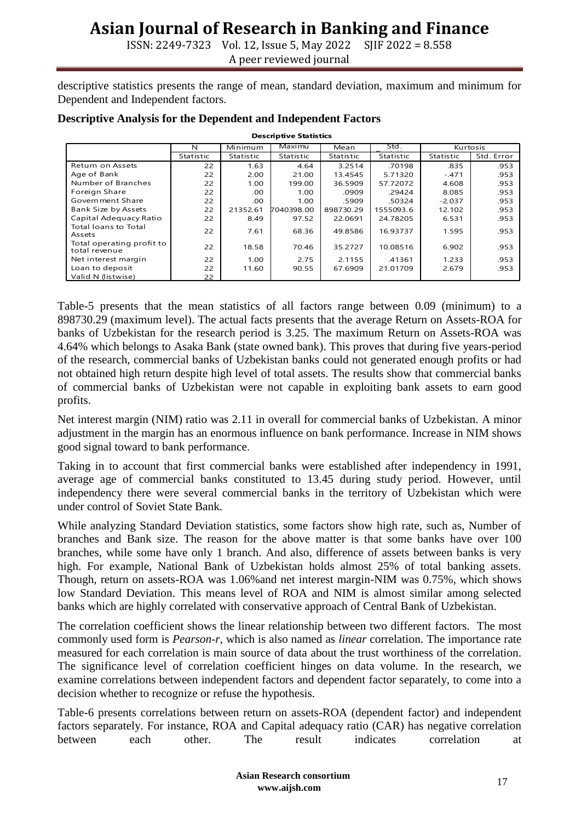ISSN: 2249-7323 Vol. 12, Issue 5, May 2022 SJIF 2022 = 8.558 A peer reviewed journal

descriptive statistics presents the range of mean, standard deviation, maximum and minimum for Dependent and Independent factors.

| <b>Descriptive Statistics</b>              |           |           |            |           |           |           |            |  |  |  |  |
|--------------------------------------------|-----------|-----------|------------|-----------|-----------|-----------|------------|--|--|--|--|
|                                            | N         | Minimum   | Maximu     | Mean      | Std.      | Kurtosis  |            |  |  |  |  |
|                                            | Statistic | Statistic | Statistic  | Statistic | Statistic | Statistic | Std. Error |  |  |  |  |
| Return on Assets                           | 22        | 1.63      | 4.64       | 3.2514    | .70198    | .835      | .953       |  |  |  |  |
| Age of Bank                                | 22        | 2.00      | 21.00      | 13.4545   | 5.71320   | $-.471$   | .953       |  |  |  |  |
| Number of Branches                         | 22        | 1.00      | 199.00     | 36.5909   | 57.72072  | 4.608     | .953       |  |  |  |  |
| Foreign Share                              | 22        | .00       | 1.00       | .0909     | .29424    | 8.085     | .953       |  |  |  |  |
| Government Share                           | 22        | .00       | 1.00       | .5909     | .50324    | $-2.037$  | .953       |  |  |  |  |
| Bank Size by Assets                        | 22        | 21352.61  | 7040398.00 | 898730.29 | 1555093.6 | 12.102    | .953       |  |  |  |  |
| Capital Adequacy Ratio                     | 22        | 8.49      | 97.52      | 22.0691   | 24.78205  | 6.531     | .953       |  |  |  |  |
| <b>Total loans to Total</b><br>Assets      | 22        | 7.61      | 68.36      | 49.8586   | 16.93737  | 1.595     | .953       |  |  |  |  |
| Total operating profit to<br>total revenue | 22        | 18.58     | 70.46      | 35.2727   | 10.08516  | 6.902     | .953       |  |  |  |  |
| Net interest margin                        | 22        | 1.00      | 2.75       | 2.1155    | .41361    | 1.233     | .953       |  |  |  |  |
| Loan to deposit                            | 22        | 11.60     | 90.55      | 67.6909   | 21.01709  | 2.679     | .953       |  |  |  |  |
| Valid N (listwise)                         | 22        |           |            |           |           |           |            |  |  |  |  |

#### **Descriptive Analysis for the Dependent and Independent Factors**

Table-5 presents that the mean statistics of all factors range between 0.09 (minimum) to a 898730.29 (maximum level). The actual facts presents that the average Return on Assets-ROA for banks of Uzbekistan for the research period is 3.25. The maximum Return on Assets-ROA was 4.64% which belongs to Asaka Bank (state owned bank). This proves that during five years-period of the research, commercial banks of Uzbekistan banks could not generated enough profits or had not obtained high return despite high level of total assets. The results show that commercial banks of commercial banks of Uzbekistan were not capable in exploiting bank assets to earn good profits.

Net interest margin (NIM) ratio was 2.11 in overall for commercial banks of Uzbekistan. A minor adjustment in the margin has an enormous influence on bank performance. Increase in NIM shows good signal toward to bank performance.

Taking in to account that first commercial banks were established after independency in 1991, average age of commercial banks constituted to 13.45 during study period. However, until independency there were several commercial banks in the territory of Uzbekistan which were under control of Soviet State Bank.

While analyzing Standard Deviation statistics, some factors show high rate, such as, Number of branches and Bank size. The reason for the above matter is that some banks have over 100 branches, while some have only 1 branch. And also, difference of assets between banks is very high. For example, National Bank of Uzbekistan holds almost 25% of total banking assets. Though, return on assets-ROA was 1.06%and net interest margin-NIM was 0.75%, which shows low Standard Deviation. This means level of ROA and NIM is almost similar among selected banks which are highly correlated with conservative approach of Central Bank of Uzbekistan.

The correlation coefficient shows the linear relationship between two different factors. The most commonly used form is *Pearson-r*, which is also named as *linear* correlation. The importance rate measured for each correlation is main source of data about the trust worthiness of the correlation. The significance level of correlation coefficient hinges on data volume. In the research, we examine correlations between independent factors and dependent factor separately, to come into a decision whether to recognize or refuse the hypothesis.

Table-6 presents correlations between return on assets-ROA (dependent factor) and independent factors separately. For instance, ROA and Capital adequacy ratio (CAR) has negative correlation between each other. The result indicates correlation at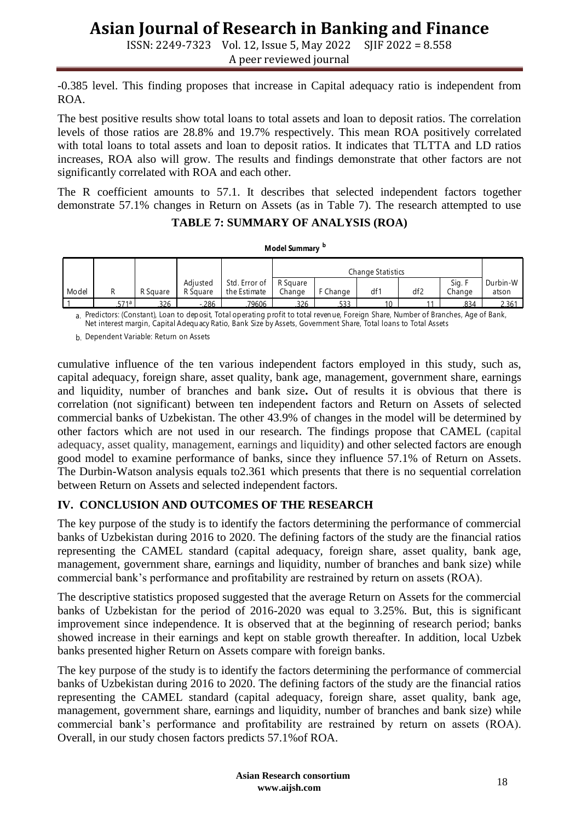ISSN: 2249-7323 Vol. 12, Issue 5, May 2022 SJIF 2022 = 8.558

A peer reviewed journal

-0.385 level. This finding proposes that increase in Capital adequacy ratio is independent from ROA.

The best positive results show total loans to total assets and loan to deposit ratios. The correlation levels of those ratios are 28.8% and 19.7% respectively. This mean ROA positively correlated with total loans to total assets and loan to deposit ratios. It indicates that TLTTA and LD ratios increases, ROA also will grow. The results and findings demonstrate that other factors are not significantly correlated with ROA and each other.

The R coefficient amounts to 57.1. It describes that selected independent factors together demonstrate 57.1% changes in Return on Assets (as in Table 7). The research attempted to use

### **TABLE 7: SUMMARY OF ANALYSIS (ROA)**

**Model Summary <sup>b</sup>**

|                                                                                                                                                                                                                                                         |      |          |          |               | Change Statistics |          |                 |                 |        |          |
|---------------------------------------------------------------------------------------------------------------------------------------------------------------------------------------------------------------------------------------------------------|------|----------|----------|---------------|-------------------|----------|-----------------|-----------------|--------|----------|
|                                                                                                                                                                                                                                                         |      |          | Adiusted | Std. Error of | R Square          |          |                 |                 | Sig. F | Durbin-W |
| Model                                                                                                                                                                                                                                                   |      | R Square | R Square | the Estimate  | Change            | F Change | df <sup>-</sup> | df <sub>2</sub> | Change | atson    |
|                                                                                                                                                                                                                                                         | 571a | 326      | - 286    | 79606         | 326               | 533      |                 |                 | 834    | 2.361    |
| a. Predictors: (Constant), Loan to deposit, Total operating profit to total revenue, Foreign Share, Number of Branches, Age of Bank,<br>Net interest margin, Capital Adequacy Ratio, Bank Size by Assets, Government Share, Total Ioans to Total Assets |      |          |          |               |                   |          |                 |                 |        |          |
| L. Donandant Variable: Poturn on Accote                                                                                                                                                                                                                 |      |          |          |               |                   |          |                 |                 |        |          |

b. Dependent Variable: Return on Assets

cumulative influence of the ten various independent factors employed in this study, such as, capital adequacy, foreign share, asset quality, bank age, management, government share, earnings and liquidity, number of branches and bank size**.** Out of results it is obvious that there is correlation (not significant) between ten independent factors and Return on Assets of selected commercial banks of Uzbekistan. The other 43.9% of changes in the model will be determined by other factors which are not used in our research. The findings propose that CAMEL (capital adequacy, asset quality, management, earnings and liquidity) and other selected factors are enough good model to examine performance of banks, since they influence 57.1% of Return on Assets. The Durbin-Watson analysis equals to2.361 which presents that there is no sequential correlation between Return on Assets and selected independent factors.

### **IV. CONCLUSION AND OUTCOMES OF THE RESEARCH**

The key purpose of the study is to identify the factors determining the performance of commercial banks of Uzbekistan during 2016 to 2020. The defining factors of the study are the financial ratios representing the CAMEL standard (capital adequacy, foreign share, asset quality, bank age, management, government share, earnings and liquidity, number of branches and bank size) while commercial bank's performance and profitability are restrained by return on assets (ROA).

The descriptive statistics proposed suggested that the average Return on Assets for the commercial banks of Uzbekistan for the period of 2016-2020 was equal to 3.25%. But, this is significant improvement since independence. It is observed that at the beginning of research period; banks showed increase in their earnings and kept on stable growth thereafter. In addition, local Uzbek banks presented higher Return on Assets compare with foreign banks.

The key purpose of the study is to identify the factors determining the performance of commercial banks of Uzbekistan during 2016 to 2020. The defining factors of the study are the financial ratios representing the CAMEL standard (capital adequacy, foreign share, asset quality, bank age, management, government share, earnings and liquidity, number of branches and bank size) while commercial bank's performance and profitability are restrained by return on assets (ROA). Overall, in our study chosen factors predicts 57.1%of ROA.